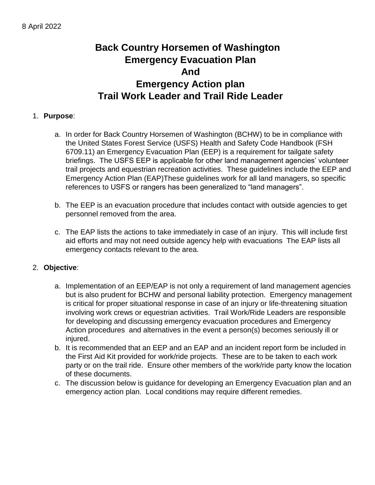# **Back Country Horsemen of Washington Emergency Evacuation Plan And Emergency Action plan Trail Work Leader and Trail Ride Leader**

#### 1. **Purpose**:

- a. In order for Back Country Horsemen of Washington (BCHW) to be in compliance with the United States Forest Service (USFS) Health and Safety Code Handbook (FSH 6709.11) an Emergency Evacuation Plan (EEP) is a requirement for tailgate safety briefings. The USFS EEP is applicable for other land management agencies' volunteer trail projects and equestrian recreation activities. These guidelines include the EEP and Emergency Action Plan (EAP)These guidelines work for all land managers, so specific references to USFS or rangers has been generalized to "land managers".
- b. The EEP is an evacuation procedure that includes contact with outside agencies to get personnel removed from the area.
- c. The EAP lists the actions to take immediately in case of an injury. This will include first aid efforts and may not need outside agency help with evacuations The EAP lists all emergency contacts relevant to the area.

#### 2. **Objective**:

- a. Implementation of an EEP/EAP is not only a requirement of land management agencies but is also prudent for BCHW and personal liability protection. Emergency management is critical for proper situational response in case of an injury or life-threatening situation involving work crews or equestrian activities. Trail Work/Ride Leaders are responsible for developing and discussing emergency evacuation procedures and Emergency Action procedures and alternatives in the event a person(s) becomes seriously ill or injured.
- b. It is recommended that an EEP and an EAP and an incident report form be included in the First Aid Kit provided for work/ride projects. These are to be taken to each work party or on the trail ride. Ensure other members of the work/ride party know the location of these documents.
- c. The discussion below is guidance for developing an Emergency Evacuation plan and an emergency action plan. Local conditions may require different remedies.